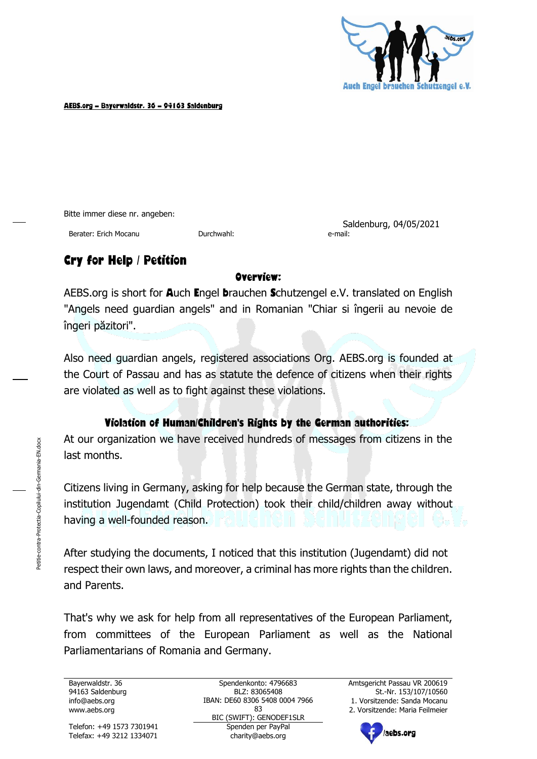

AEBS.org – Bayerwaldstr. 36 – 94163 Saldenburg

Bitte immer diese nr. angeben:

Berater: Erich Mocanu Durchwahl: e-mail:

Saldenburg, 04/05/2021

### Cry for Help / Petition

#### Overview:

AEBS.org is short for Auch Engel brauchen Schutzengel e.V. translated on English "Angels need guardian angels" and in Romanian "Chiar si îngerii au nevoie de îngeri păzitori".

Also need guardian angels, registered associations Org. AEBS.org is founded at the Court of Passau and has as statute the defence of citizens when their rights are violated as well as to fight against these violations.

#### Violation of Human/Children's Rights by the German authorities:

At our organization we have received hundreds of messages from citizens in the last months.

Citizens living in Germany, asking for help because the German state, through the institution Jugendamt (Child Protection) took their child/children away without having a well-founded reason.

After studying the documents, I noticed that this institution (Jugendamt) did not respect their own laws, and moreover, a criminal has more rights than the children. and Parents.

That's why we ask for help from all representatives of the European Parliament, from committees of the European Parliament as well as the National Parliamentarians of Romania and Germany.

Bayerwaldstr. 36 94163 Saldenburg

Telefon: +49 1573 7301941

Spendenkonto: 4796683 BLZ: 83065408 IBAN: DE60 8306 5408 0004 7966 info@aebs.org 1. Vorsitzende: Sanda Mocanu 83 BIC (SWIFT): GENODEF1SLR<br>Spenden per PavPal www.aebs.org 2. Vorsitzende: Maria Feilmeier Telefax: +49 3212 1334071 charity@aebs.org

Amtsgericht Passau VR 200619 St.-Nr. 153/107/10560

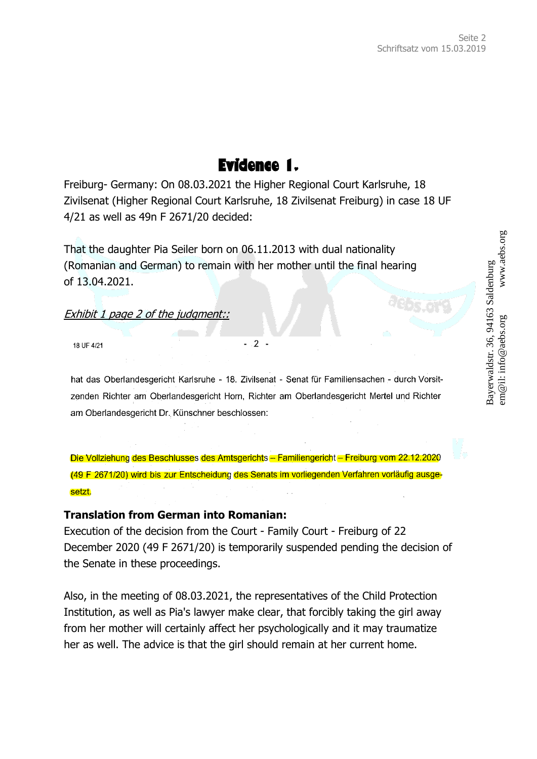# Evidence 1.

Freiburg- Germany: On 08.03.2021 the Higher Regional Court Karlsruhe, 18 Zivilsenat (Higher Regional Court Karlsruhe, 18 Zivilsenat Freiburg) in case 18 UF 4/21 as well as 49n F 2671/20 decided:

That the daughter Pia Seiler born on 06.11.2013 with dual nationality (Romanian and German) to remain with her mother until the final hearing of 13.04.2021.

#### Exhibit 1 page 2 of the judgment::

18 UF 4/21

hat das Oberlandesgericht Karlsruhe - 18. Zivilsenat - Senat für Familiensachen - durch Vorsitzenden Richter am Oberlandesgericht Horn, Richter am Oberlandesgericht Mertel und Richter am Oberlandesgericht Dr. Künschner beschlossen:

 $2 -$ 

Die Vollziehung des Beschlusses des Amtsgerichts - Familiengericht - Freiburg vom 22.12.2020 (49 F 2671/20) wird bis zur Entscheidung des Senats im vorliegenden Verfahren vorläufig ausgesetzt.

#### **Translation from German into Romanian:**

Execution of the decision from the Court - Family Court - Freiburg of 22 December 2020 (49 F 2671/20) is temporarily suspended pending the decision of the Senate in these proceedings.

Also, in the meeting of 08.03.2021, the representatives of the Child Protection Institution, as well as Pia's lawyer make clear, that forcibly taking the girl away from her mother will certainly affect her psychologically and it may traumatize her as well. The advice is that the girl should remain at her current home.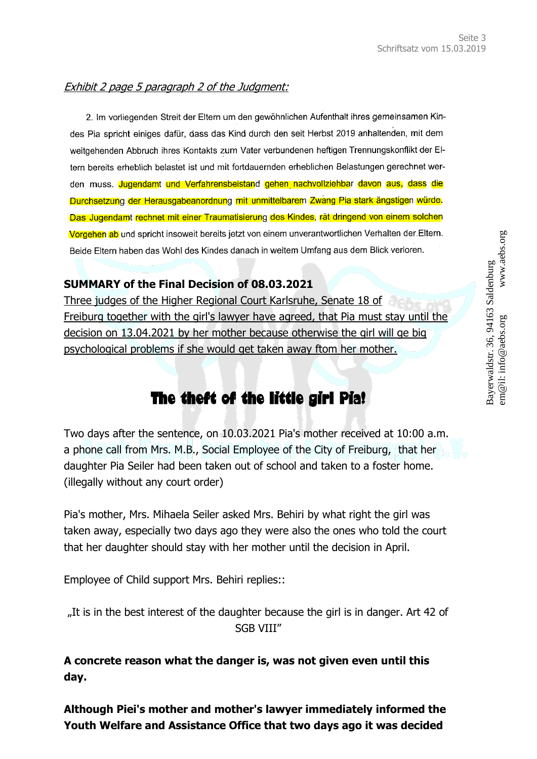#### Exhibit 2 page 5 paragraph 2 of the Judgment:

2. Im vorliegenden Streit der Eltern um den gewöhnlichen Aufenthalt ihres gemeinsamen Kindes Pia spricht einiges dafür, dass das Kind durch den seit Herbst 2019 anhaltenden, mit dem weitgehenden Abbruch ihres Kontakts zum Vater verbundenen heftigen Trennungskonflikt der Eltern bereits erheblich belastet ist und mit fortdauernden erheblichen Belastungen gerechnet werden muss. Jugendamt und Verfahrensbeistand gehen nachvollziehbar davon aus, dass die Durchsetzung der Herausgabeanordnung mit unmittelbarem Zwang Pia stark ängstigen würde. Das Jugendamt rechnet mit einer Traumatisierung des Kindes, rät dringend von einem solchen Vorgehen ab und spricht insoweit bereits jetzt von einem unverantwortlichen Verhalten der Eltern. Beide Eltern haben das Wohl des Kindes danach in weitem Umfang aus dem Blick verloren.

#### **SUMMARY of the Final Decision of 08.03.2021**

Three judges of the Higher Regional Court Karlsruhe, Senate 18 of Freiburg together with the girl's lawyer have agreed, that Pia must stay until the decision on 13.04.2021 by her mother because otherwise the girl will ge big psychological problems if she would get taken away ftom her mother.

## The theft of the little girl Pia!

Two days after the sentence, on 10.03.2021 Pia's mother received at 10:00 a.m. a phone call from Mrs. M.B., Social Employee of the City of Freiburg, that her daughter Pia Seiler had been taken out of school and taken to a foster home. (illegally without any court order)

Pia's mother, Mrs. Mihaela Seiler asked Mrs. Behiri by what right the girl was taken away, especially two days ago they were also the ones who told the court that her daughter should stay with her mother until the decision in April.

Employee of Child support Mrs. Behiri replies::

"It is in the best interest of the daughter because the girl is in danger. Art 42 of SGB VIII"

**A concrete reason what the danger is, was not given even until this day.** 

**Although Piei's mother and mother's lawyer immediately informed the Youth Welfare and Assistance Office that two days ago it was decided**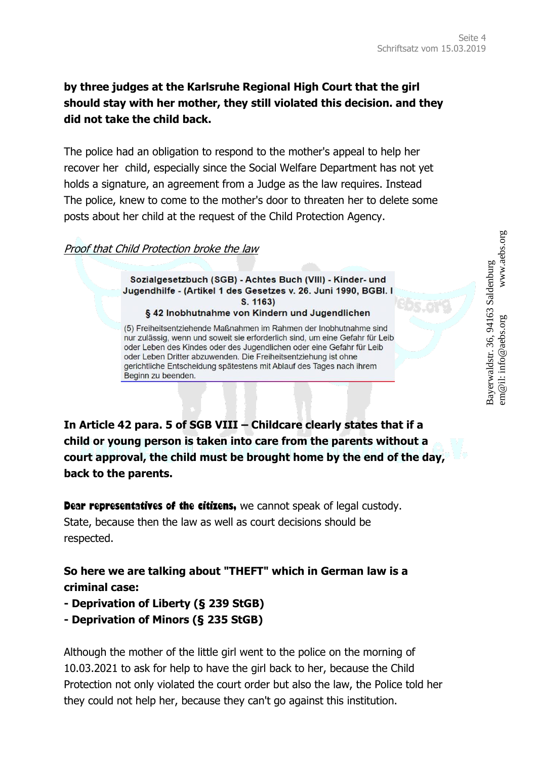#### **by three judges at the Karlsruhe Regional High Court that the girl should stay with her mother, they still violated this decision. and they did not take the child back.**

The police had an obligation to respond to the mother's appeal to help her recover her child, especially since the Social Welfare Department has not yet holds a signature, an agreement from a Judge as the law requires. Instead The police, knew to come to the mother's door to threaten her to delete some posts about her child at the request of the Child Protection Agency.

#### Proof that Child Protection broke the law

Sozialgesetzbuch (SGB) - Achtes Buch (VIII) - Kinder- und Jugendhilfe - (Artikel 1 des Gesetzes v. 26. Juni 1990, BGBI. I  $S. 1163$ § 42 Inobhutnahme von Kindern und Jugendlichen

(5) Freiheitsentziehende Maßnahmen im Rahmen der Inobhutnahme sind nur zulässig, wenn und soweit sie erforderlich sind, um eine Gefahr für Leib oder Leben des Kindes oder des Jugendlichen oder eine Gefahr für Leib oder Leben Dritter abzuwenden. Die Freiheitsentziehung ist ohne gerichtliche Entscheidung spätestens mit Ablauf des Tages nach ihrem Beginn zu beenden.

**In Article 42 para. 5 of SGB VIII – Childcare clearly states that if a child or young person is taken into care from the parents without a court approval, the child must be brought home by the end of the day, back to the parents.**

**Dear representatives of the citizens,** we cannot speak of legal custody. State, because then the law as well as court decisions should be respected.

**So here we are talking about "THEFT" which in German law is a criminal case:**

- **- Deprivation of Liberty (§ 239 StGB)**
- **- Deprivation of Minors (§ 235 StGB)**

Although the mother of the little girl went to the police on the morning of 10.03.2021 to ask for help to have the girl back to her, because the Child Protection not only violated the court order but also the law, the Police told her they could not help her, because they can't go against this institution.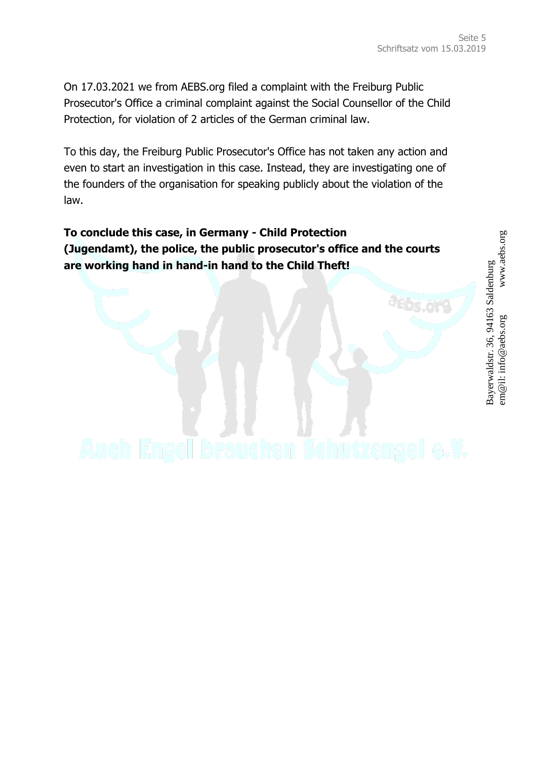**PSLOTE** 

On 17.03.2021 we from AEBS.org filed a complaint with the Freiburg Public Prosecutor's Office a criminal complaint against the Social Counsellor of the Child Protection, for violation of 2 articles of the German criminal law.

To this day, the Freiburg Public Prosecutor's Office has not taken any action and even to start an investigation in this case. Instead, they are investigating one of the founders of the organisation for speaking publicly about the violation of the law.

**To conclude this case, in Germany - Child Protection (Jugendamt), the police, the public prosecutor's office and the courts are working hand in hand-in hand to the Child Theft!**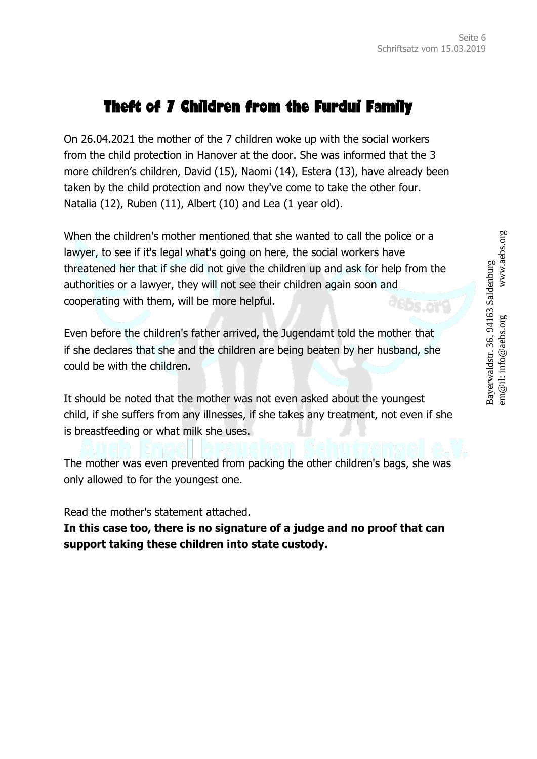# Theft of 7 Children from the Furdui Family

On 26.04.2021 the mother of the 7 children woke up with the social workers from the child protection in Hanover at the door. She was informed that the 3 more children's children, David (15), Naomi (14), Estera (13), have already been taken by the child protection and now they've come to take the other four. Natalia (12), Ruben (11), Albert (10) and Lea (1 year old).

When the children's mother mentioned that she wanted to call the police or a lawyer, to see if it's legal what's going on here, the social workers have threatened her that if she did not give the children up and ask for help from the authorities or a lawyer, they will not see their children again soon and cooperating with them, will be more helpful. aebs.org

Even before the children's father arrived, the Jugendamt told the mother that if she declares that she and the children are being beaten by her husband, she could be with the children.

It should be noted that the mother was not even asked about the youngest child, if she suffers from any illnesses, if she takes any treatment, not even if she is breastfeeding or what milk she uses.

The mother was even prevented from packing the other children's bags, she was only allowed to for the youngest one.

Read the mother's statement attached.

**In this case too, there is no signature of a judge and no proof that can support taking these children into state custody.**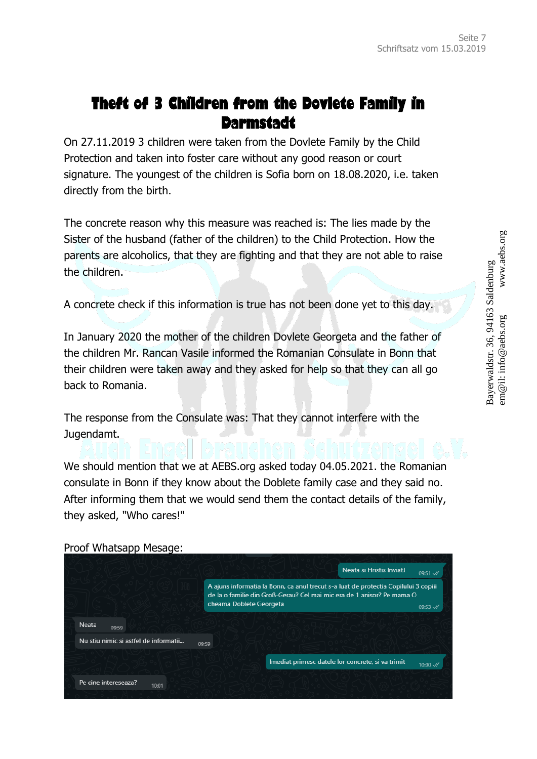## Theft of 3 Children from the Dovlete Family in Darmstadt

On 27.11.2019 3 children were taken from the Dovlete Family by the Child Protection and taken into foster care without any good reason or court signature. The youngest of the children is Sofia born on 18.08.2020, i.e. taken directly from the birth.

The concrete reason why this measure was reached is: The lies made by the Sister of the husband (father of the children) to the Child Protection. How the parents are alcoholics, that they are fighting and that they are not able to raise the children.

A concrete check if this information is true has not been done yet to this day.

In January 2020 the mother of the children Dovlete Georgeta and the father of the children Mr. Rancan Vasile informed the Romanian Consulate in Bonn that their children were taken away and they asked for help so that they can all go back to Romania.

The response from the Consulate was: That they cannot interfere with the Jugendamt.

We should mention that we at AEBS.org asked today 04.05.2021. the Romanian consulate in Bonn if they know about the Doblete family case and they said no. After informing them that we would send them the contact details of the family, they asked, "Who cares!"

Neata și Hristis Inviat!  $00 - 51.$ // A ajuns informatia la Bonn, ca anul trecut s-a luat de protectia Copilului 3 copiii de la o familie din Groß-Gerau? Cel mai mic era de 1 anisor? Pe mama O cheama Doblete Georgeta 09:53 // Neata 09:59 Nu stiu nimic si astfel de informatii... 09.59 Imediat primesc datele lor concrete, si va trimit  $10:00 \sqrt{x}$ Pe cine intereseaza? 10:01

Proof Whatsapp Mesage: